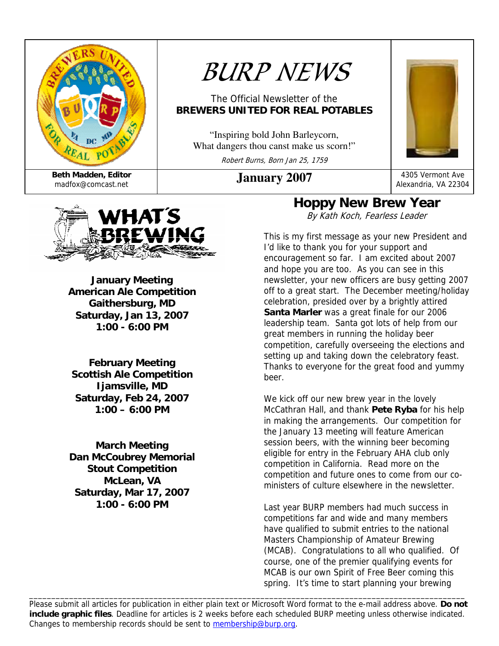

# *BURP NEWS*

#### The Official Newsletter of the **BREWERS UNITED FOR REAL POTABLES**

"Inspiring bold John Barleycorn, What dangers thou canst make us scorn!"

Robert Burns, Born Jan 25, 1759



Alexandria, VA 22304



**January Meeting American Ale Competition Gaithersburg, MD Saturday, Jan 13, 2007 1:00 - 6:00 PM** 

**February Meeting Scottish Ale Competition Ijamsville, MD Saturday, Feb 24, 2007 1:00 – 6:00 PM** 

**March Meeting Dan McCoubrey Memorial Stout Competition McLean, VA Saturday, Mar 17, 2007 1:00 - 6:00 PM** 

#### **Hoppy New Brew Year**  By Kath Koch, Fearless Leader

This is my first message as your new President and I'd like to thank you for your support and encouragement so far. I am excited about 2007 and hope you are too. As you can see in this newsletter, your new officers are busy getting 2007 off to a great start. The December meeting/holiday celebration, presided over by a brightly attired **Santa Marler** was a great finale for our 2006 leadership team. Santa got lots of help from our great members in running the holiday beer competition, carefully overseeing the elections and setting up and taking down the celebratory feast. Thanks to everyone for the great food and yummy beer.

We kick off our new brew year in the lovely McCathran Hall, and thank **Pete Ryba** for his help in making the arrangements. Our competition for the January 13 meeting will feature American session beers, with the winning beer becoming eligible for entry in the February AHA club only competition in California. Read more on the competition and future ones to come from our coministers of culture elsewhere in the newsletter.

Last year BURP members had much success in competitions far and wide and many members have qualified to submit entries to the national Masters Championship of Amateur Brewing (MCAB). Congratulations to all who qualified. Of course, one of the premier qualifying events for MCAB is our own Spirit of Free Beer coming this spring. It's time to start planning your brewing

Please submit all articles for publication in either plain text or Microsoft Word format to the e-mail address above. **Do not include graphic files**. Deadline for articles is 2 weeks before each scheduled BURP meeting unless otherwise indicated. Changes to membership records should be sent to membership@burp.org.

\_\_\_\_\_\_\_\_\_\_\_\_\_\_\_\_\_\_\_\_\_\_\_\_\_\_\_\_\_\_\_\_\_\_\_\_\_\_\_\_\_\_\_\_\_\_\_\_\_\_\_\_\_\_\_\_\_\_\_\_\_\_\_\_\_\_\_\_\_\_\_\_\_\_\_\_\_\_\_\_\_\_\_\_\_\_\_\_\_\_\_\_\_\_\_\_\_\_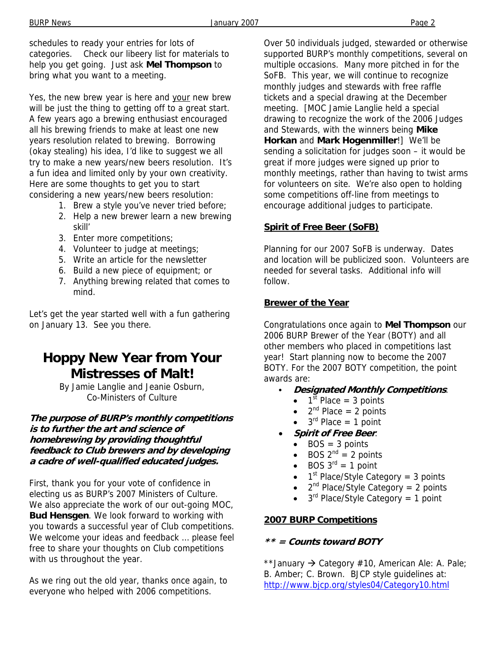schedules to ready your entries for lots of categories. Check our libeery list for materials to help you get going. Just ask **Mel Thompson** to bring what you want to a meeting.

Yes, the new brew year is here and your new brew will be just the thing to getting off to a great start. A few years ago a brewing enthusiast encouraged all his brewing friends to make at least one new years resolution related to brewing. Borrowing (okay stealing) his idea, I'd like to suggest we all try to make a new years/new beers resolution. It's a fun idea and limited only by your own creativity. Here are some thoughts to get you to start considering a new years/new beers resolution:

- 1. Brew a style you've never tried before;
- 2. Help a new brewer learn a new brewing skill'
- 3. Enter more competitions;
- 4. Volunteer to judge at meetings;
- 5. Write an article for the newsletter
- 6. Build a new piece of equipment; or
- 7. Anything brewing related that comes to mind.

Let's get the year started well with a fun gathering on January 13. See you there.

### **Hoppy New Year from Your Mistresses of Malt!**

By Jamie Langlie and Jeanie Osburn, Co-Ministers of Culture

**The purpose of BURP's monthly competitions is to further the art and science of homebrewing by providing thoughtful feedback to Club brewers and by developing a cadre of well-qualified educated judges.** 

First, thank you for your vote of confidence in electing us as BURP's 2007 Ministers of Culture. We also appreciate the work of our out-going MOC, **Bud Hensgen**. We look forward to working with you towards a successful year of Club competitions. We welcome your ideas and feedback … please feel free to share your thoughts on Club competitions with us throughout the year.

As we ring out the old year, thanks once again, to everyone who helped with 2006 competitions.

Over 50 individuals judged, stewarded or otherwise supported BURP's monthly competitions, several on multiple occasions. Many more pitched in for the SoFB. This year, we will continue to recognize monthly judges and stewards with free raffle tickets and a special drawing at the December meeting. [MOC Jamie Langlie held a special drawing to recognize the work of the 2006 Judges and Stewards, with the winners being **Mike Horkan** and **Mark Hogenmiller**!] We'll be sending a solicitation for judges soon – it would be great if more judges were signed up prior to monthly meetings, rather than having to twist arms for volunteers on site. We're also open to holding some competitions off-line from meetings to encourage additional judges to participate.

#### **Spirit of Free Beer (SoFB)**

Planning for our 2007 SoFB is underway. Dates and location will be publicized soon. Volunteers are needed for several tasks. Additional info will follow.

#### **Brewer of the Year**

Congratulations once again to **Mel Thompson** our 2006 BURP Brewer of the Year (BOTY) and all other members who placed in competitions last year! Start planning now to become the 2007 BOTY. For the 2007 BOTY competition, the point awards are:

- C **Designated Monthly Competitions**:
	- $\bullet$  1<sup>st</sup> Place = 3 points
	- $2^{nd}$  Place = 2 points
	- $3<sup>rd</sup>$  Place = 1 point
- **Spirit of Free Beer**:
	- $BOS = 3$  points
	- BOS  $2^{nd} = 2$  points
	- BOS  $3^{rd} = 1$  point
	- $1<sup>st</sup>$  Place/Style Category = 3 points
	- $2^{nd}$  Place/Style Category = 2 points
	- $3<sup>rd</sup>$  Place/Style Category = 1 point

#### **2007 BURP Competitions**

#### **\*\* = Counts toward BOTY**

\*\*January  $\rightarrow$  Category #10, American Ale: A. Pale; B. Amber; C. Brown. BJCP style guidelines at: http://www.bjcp.org/styles04/Category10.html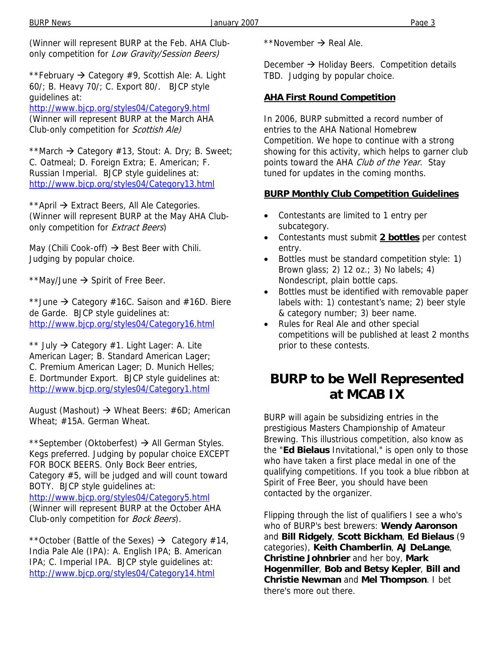(Winner will represent BURP at the Feb. AHA Clubonly competition for Low Gravity/Session Beers)

\*\*February  $\rightarrow$  Category #9, Scottish Ale: A. Light 60/; B. Heavy 70/; C. Export 80/. BJCP style guidelines at:

http://www.bjcp.org/styles04/Category9.html (Winner will represent BURP at the March AHA Club-only competition for Scottish Ale)

\*\*March  $\rightarrow$  Category #13, Stout: A. Dry; B. Sweet; C. Oatmeal; D. Foreign Extra; E. American; F. Russian Imperial. BJCP style guidelines at: http://www.bjcp.org/styles04/Category13.html

\*\*April  $\rightarrow$  Extract Beers, All Ale Categories. (Winner will represent BURP at the May AHA Clubonly competition for *Extract Beers*)

May (Chili Cook-off)  $\rightarrow$  Best Beer with Chili. Judging by popular choice.

\*\*May/June  $\rightarrow$  Spirit of Free Beer.

\*\*June  $\rightarrow$  Category #16C. Saison and #16D. Biere de Garde. BJCP style guidelines at: http://www.bjcp.org/styles04/Category16.html

\*\* July  $\rightarrow$  Category #1. Light Lager: A. Lite American Lager; B. Standard American Lager; C. Premium American Lager; D. Munich Helles; E. Dortmunder Export. BJCP style guidelines at: http://www.bjcp.org/styles04/Category1.html

August (Mashout)  $\rightarrow$  Wheat Beers: #6D; American Wheat; #15A. German Wheat.

\*\*September (Oktoberfest)  $\rightarrow$  All German Styles. Kegs preferred. Judging by popular choice EXCEPT FOR BOCK BEERS. Only Bock Beer entries, Category #5, will be judged and will count toward BOTY. BJCP style guidelines at: http://www.bjcp.org/styles04/Category5.html (Winner will represent BURP at the October AHA Club-only competition for Bock Beers).

\*\*October (Battle of the Sexes)  $\rightarrow$  Category #14, India Pale Ale (IPA): A. English IPA; B. American IPA; C. Imperial IPA. BJCP style guidelines at: http://www.bjcp.org/styles04/Category14.html

\*\*November  $\rightarrow$  Real Ale.

December  $\rightarrow$  Holiday Beers. Competition details TBD. Judging by popular choice.

#### **AHA First Round Competition**

In 2006, BURP submitted a record number of entries to the AHA National Homebrew Competition. We hope to continue with a strong showing for this activity, which helps to garner club points toward the AHA Club of the Year. Stay tuned for updates in the coming months.

#### **BURP Monthly Club Competition Guidelines**

- Contestants are limited to 1 entry per subcategory.
- Contestants must submit **2 bottles** per contest entry.
- Bottles must be standard competition style: 1) Brown glass; 2) 12 oz.; 3) No labels; 4) Nondescript, plain bottle caps.
- Bottles must be identified with removable paper labels with: 1) contestant's name; 2) beer style & category number; 3) beer name.
- Rules for Real Ale and other special competitions will be published at least 2 months prior to these contests.

### **BURP to be Well Represented at MCAB IX**

BURP will again be subsidizing entries in the prestigious Masters Championship of Amateur Brewing. This illustrious competition, also know as the "**Ed Bielaus** Invitational," is open only to those who have taken a first place medal in one of the qualifying competitions. If you took a blue ribbon at Spirit of Free Beer, you should have been contacted by the organizer.

Flipping through the list of qualifiers I see a who's who of BURP's best brewers: **Wendy Aaronson** and **Bill Ridgely**, **Scott Bickham**, **Ed Bielaus** (9 categories), **Keith Chamberlin**, **AJ DeLange**, **Christine Johnbrier** and her boy, **Mark Hogenmiller**, **Bob and Betsy Kepler**, **Bill and Christie Newman** and **Mel Thompson**. I bet there's more out there.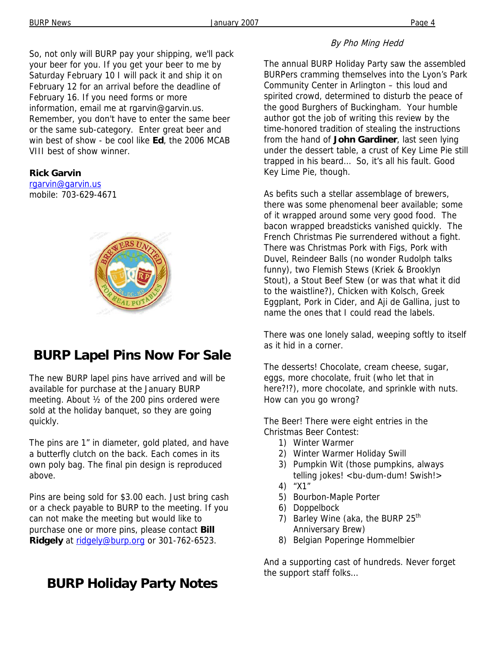So, not only will BURP pay your shipping, we'll pack your beer for you. If you get your beer to me by Saturday February 10 I will pack it and ship it on February 12 for an arrival before the deadline of February 16. If you need forms or more information, email me at rgarvin@garvin.us. Remember, you don't have to enter the same beer or the same sub-category. Enter great beer and win best of show - be cool like **Ed**, the 2006 MCAB VIII best of show winner.

#### **Rick Garvin**

rgarvin@garvin.us mobile: 703-629-4671



# **BURP Lapel Pins Now For Sale**

The new BURP lapel pins have arrived and will be available for purchase at the January BURP meeting. About ½ of the 200 pins ordered were sold at the holiday banquet, so they are going quickly.

The pins are 1" in diameter, gold plated, and have a butterfly clutch on the back. Each comes in its own poly bag. The final pin design is reproduced above.

Pins are being sold for \$3.00 each. Just bring cash or a check payable to BURP to the meeting. If you can not make the meeting but would like to purchase one or more pins, please contact **Bill**  Ridgely at ridgely@burp.org or 301-762-6523.

# **BURP Holiday Party Notes**

#### By Pho Ming Hedd

The annual BURP Holiday Party saw the assembled BURPers cramming themselves into the Lyon's Park Community Center in Arlington – this loud and spirited crowd, determined to disturb the peace of the good Burghers of Buckingham. Your humble author got the job of writing this review by the time-honored tradition of stealing the instructions from the hand of **John Gardiner**, last seen lying under the dessert table, a crust of Key Lime Pie still trapped in his beard… So, it's all his fault. Good Key Lime Pie, though.

As befits such a stellar assemblage of brewers, there was some phenomenal beer available; some of it wrapped around some very good food. The bacon wrapped breadsticks vanished quickly. The French Christmas Pie surrendered without a fight. There was Christmas Pork with Figs, Pork with Duvel, Reindeer Balls (no wonder Rudolph talks funny), two Flemish Stews (Kriek & Brooklyn Stout), a Stout Beef Stew (or was that what it did to the waistline?), Chicken with Kolsch, Greek Eggplant, Pork in Cider, and Aji de Gallina, just to name the ones that I could read the labels.

There was one lonely salad, weeping softly to itself as it hid in a corner.

The desserts! Chocolate, cream cheese, sugar, eggs, more chocolate, fruit (who let that in here?!?), more chocolate, and sprinkle with nuts. How can you go wrong?

The Beer! There were eight entries in the Christmas Beer Contest:

- 1) Winter Warmer
- 2) Winter Warmer Holiday Swill
- 3) Pumpkin Wit (those pumpkins, always telling jokes! < bu-dum-dum! Swish! >
- 4) "X1"
- 5) Bourbon-Maple Porter
- 6) Doppelbock
- 7) Barley Wine (aka, the BURP  $25<sup>th</sup>$ Anniversary Brew)
- 8) Belgian Poperinge Hommelbier

And a supporting cast of hundreds. Never forget the support staff folks…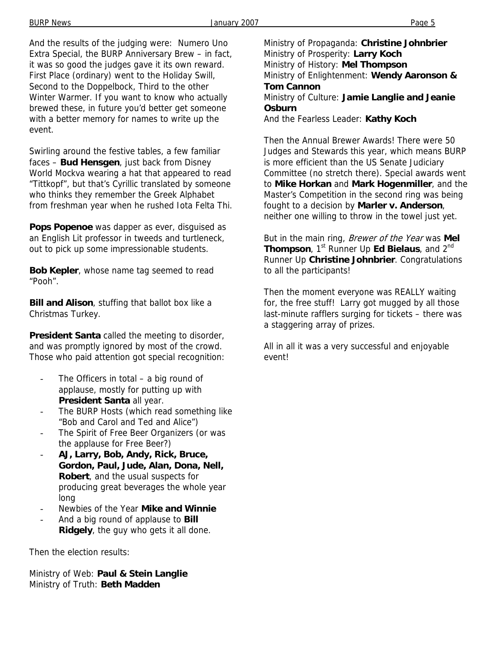And the results of the judging were: Numero Uno Extra Special, the BURP Anniversary Brew – in fact, it was so good the judges gave it its own reward. First Place (ordinary) went to the Holiday Swill, Second to the Doppelbock, Third to the other Winter Warmer. If you want to know who actually brewed these, in future you'd better get someone with a better memory for names to write up the event.

Swirling around the festive tables, a few familiar faces – **Bud Hensgen**, just back from Disney World Mockva wearing a hat that appeared to read "Tittkopf", but that's Cyrillic translated by someone who thinks they remember the Greek Alphabet from freshman year when he rushed Iota Felta Thi.

**Pops Popenoe** was dapper as ever, disguised as an English Lit professor in tweeds and turtleneck, out to pick up some impressionable students.

**Bob Kepler**, whose name tag seemed to read "Pooh".

**Bill and Alison**, stuffing that ballot box like a Christmas Turkey.

**President Santa** called the meeting to disorder, and was promptly ignored by most of the crowd. Those who paid attention got special recognition:

- The Officers in total  $-$  a big round of applause, mostly for putting up with **President Santa** all year.
- The BURP Hosts (which read something like "Bob and Carol and Ted and Alice")
- The Spirit of Free Beer Organizers (or was the applause for Free Beer?)
- **AJ, Larry, Bob, Andy, Rick, Bruce, Gordon, Paul, Jude, Alan, Dona, Nell, Robert**, and the usual suspects for producing great beverages the whole year long
- Newbies of the Year **Mike and Winnie**
- And a big round of applause to **Bill Ridgely**, the guy who gets it all done.

Then the election results:

Ministry of Web: **Paul & Stein Langlie** Ministry of Truth: **Beth Madden** 

Ministry of Propaganda: **Christine Johnbrier** Ministry of Prosperity: **Larry Koch** Ministry of History: **Mel Thompson** Ministry of Enlightenment: **Wendy Aaronson & Tom Cannon** Ministry of Culture: **Jamie Langlie and Jeanie Osburn**

And the Fearless Leader: **Kathy Koch**

Then the Annual Brewer Awards! There were 50 Judges and Stewards this year, which means BURP is more efficient than the US Senate Judiciary Committee (no stretch there). Special awards went to **Mike Horkan** and **Mark Hogenmiller**, and the Master's Competition in the second ring was being fought to a decision by **Marler v. Anderson**, neither one willing to throw in the towel just yet.

But in the main ring, Brewer of the Year was **Mel Thompson**, 1<sup>st</sup> Runner Up **Ed Bielaus**, and 2<sup>nd</sup> Runner Up **Christine Johnbrier**. Congratulations to all the participants!

Then the moment everyone was REALLY waiting for, the free stuff! Larry got mugged by all those last-minute rafflers surging for tickets – there was a staggering array of prizes.

All in all it was a very successful and enjoyable event!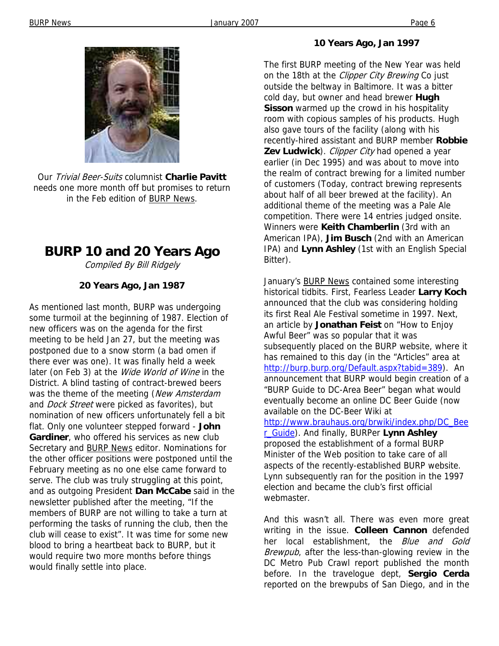

Our Trivial Beer-Suits columnist **Charlie Pavitt** needs one more month off but promises to return in the Feb edition of BURP News.

# **BURP 10 and 20 Years Ago**

Compiled By Bill Ridgely

#### **20 Years Ago, Jan 1987**

As mentioned last month, BURP was undergoing some turmoil at the beginning of 1987. Election of new officers was on the agenda for the first meeting to be held Jan 27, but the meeting was postponed due to a snow storm (a bad omen if there ever was one). It was finally held a week later (on Feb 3) at the *Wide World of Wine* in the District. A blind tasting of contract-brewed beers was the theme of the meeting (New Amsterdam and *Dock Street* were picked as favorites), but nomination of new officers unfortunately fell a bit flat. Only one volunteer stepped forward - **John Gardiner**, who offered his services as new club Secretary and BURP News editor. Nominations for the other officer positions were postponed until the February meeting as no one else came forward to serve. The club was truly struggling at this point, and as outgoing President **Dan McCabe** said in the newsletter published after the meeting, "If the members of BURP are not willing to take a turn at performing the tasks of running the club, then the club will cease to exist". It was time for some new blood to bring a heartbeat back to BURP, but it would require two more months before things would finally settle into place.

#### **10 Years Ago, Jan 1997**

The first BURP meeting of the New Year was held on the 18th at the *Clipper City Brewing* Co just outside the beltway in Baltimore. It was a bitter cold day, but owner and head brewer **Hugh Sisson** warmed up the crowd in his hospitality room with copious samples of his products. Hugh also gave tours of the facility (along with his recently-hired assistant and BURP member **Robbie**  Zev Ludwick). Clipper City had opened a year earlier (in Dec 1995) and was about to move into the realm of contract brewing for a limited number of customers (Today, contract brewing represents about half of all beer brewed at the facility). An additional theme of the meeting was a Pale Ale competition. There were 14 entries judged onsite. Winners were **Keith Chamberlin** (3rd with an American IPA), **Jim Busch** (2nd with an American IPA) and **Lynn Ashley** (1st with an English Special Bitter).

January's **BURP News contained some interesting** historical tidbits. First, Fearless Leader **Larry Koch**  announced that the club was considering holding its first Real Ale Festival sometime in 1997. Next, an article by **Jonathan Feist** on "How to Enjoy Awful Beer" was so popular that it was subsequently placed on the BURP website, where it has remained to this day (in the "Articles" area at http://burp.burp.org/Default.aspx?tabid=389). An announcement that BURP would begin creation of a "BURP Guide to DC-Area Beer" began what would eventually become an online DC Beer Guide (now available on the DC-Beer Wiki at http://www.brauhaus.org/brwiki/index.php/DC\_Bee r\_Guide). And finally, BURPer **Lynn Ashley** proposed the establishment of a formal BURP Minister of the Web position to take care of all aspects of the recently-established BURP website. Lynn subsequently ran for the position in the 1997 election and became the club's first official webmaster.

And this wasn't all. There was even more great writing in the issue. **Colleen Cannon** defended her local establishment, the Blue and Gold Brewpub, after the less-than-glowing review in the DC Metro Pub Crawl report published the month before. In the travelogue dept, **Sergio Cerda** reported on the brewpubs of San Diego, and in the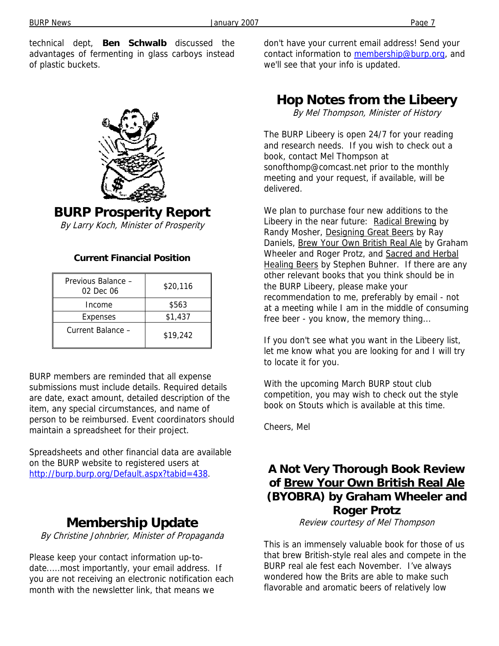technical dept, **Ben Schwalb** discussed the advantages of fermenting in glass carboys instead of plastic buckets.



**BURP Prosperity Report** 

By Larry Koch, Minister of Prosperity

#### **Current Financial Position**

| Previous Balance -<br>02 Dec 06 | \$20,116 |
|---------------------------------|----------|
| Income                          | \$563    |
| Expenses                        | \$1,437  |
| Current Balance -               | \$19,242 |

BURP members are reminded that all expense submissions must include details. Required details are date, exact amount, detailed description of the item, any special circumstances, and name of person to be reimbursed. Event coordinators should maintain a spreadsheet for their project.

Spreadsheets and other financial data are available on the BURP website to registered users at http://burp.burp.org/Default.aspx?tabid=438.

### **Membership Update**

By Christine Johnbrier, Minister of Propaganda

Please keep your contact information up-todate.....most importantly, your email address. If you are not receiving an electronic notification each month with the newsletter link, that means we

don't have your current email address! Send your contact information to membership@burp.org, and we'll see that your info is updated.

### **Hop Notes from the Libeery**

By Mel Thompson, Minister of History

The BURP Libeery is open 24/7 for your reading and research needs. If you wish to check out a book, contact Mel Thompson at sonofthomp@comcast.net prior to the monthly meeting and your request, if available, will be delivered.

We plan to purchase four new additions to the Libeery in the near future: Radical Brewing by Randy Mosher, Designing Great Beers by Ray Daniels, Brew Your Own British Real Ale by Graham Wheeler and Roger Protz, and Sacred and Herbal Healing Beers by Stephen Buhner. If there are any other relevant books that you think should be in the BURP Libeery, please make your recommendation to me, preferably by email - not at a meeting while I am in the middle of consuming free beer - you know, the memory thing...

If you don't see what you want in the Libeery list, let me know what you are looking for and I will try to locate it for you.

With the upcoming March BURP stout club competition, you may wish to check out the style book on Stouts which is available at this time.

Cheers, Mel

### **A Not Very Thorough Book Review of Brew Your Own British Real Ale (BYOBRA) by Graham Wheeler and Roger Protz**

Review courtesy of Mel Thompson

This is an immensely valuable book for those of us that brew British-style real ales and compete in the BURP real ale fest each November. I've always wondered how the Brits are able to make such flavorable and aromatic beers of relatively low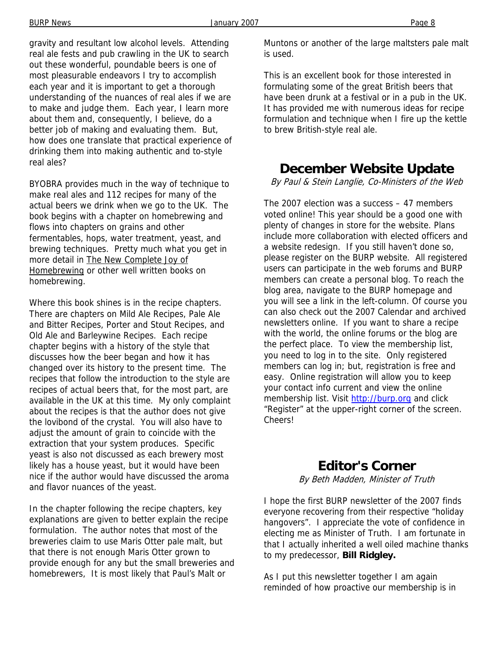gravity and resultant low alcohol levels. Attending real ale fests and pub crawling in the UK to search out these wonderful, poundable beers is one of most pleasurable endeavors I try to accomplish each year and it is important to get a thorough understanding of the nuances of real ales if we are to make and judge them. Each year, I learn more about them and, consequently, I believe, do a better job of making and evaluating them. But, how does one translate that practical experience of drinking them into making authentic and to-style real ales?

BYOBRA provides much in the way of technique to make real ales and 112 recipes for many of the actual beers we drink when we go to the UK. The book begins with a chapter on homebrewing and flows into chapters on grains and other fermentables, hops, water treatment, yeast, and brewing techniques. Pretty much what you get in more detail in The New Complete Joy of Homebrewing or other well written books on homebrewing.

Where this book shines is in the recipe chapters. There are chapters on Mild Ale Recipes, Pale Ale and Bitter Recipes, Porter and Stout Recipes, and Old Ale and Barleywine Recipes. Each recipe chapter begins with a history of the style that discusses how the beer began and how it has changed over its history to the present time. The recipes that follow the introduction to the style are recipes of actual beers that, for the most part, are available in the UK at this time. My only complaint about the recipes is that the author does not give the lovibond of the crystal. You will also have to adjust the amount of grain to coincide with the extraction that your system produces. Specific yeast is also not discussed as each brewery most likely has a house yeast, but it would have been nice if the author would have discussed the aroma and flavor nuances of the yeast.

In the chapter following the recipe chapters, key explanations are given to better explain the recipe formulation. The author notes that most of the breweries claim to use Maris Otter pale malt, but that there is not enough Maris Otter grown to provide enough for any but the small breweries and homebrewers, It is most likely that Paul's Malt or

Muntons or another of the large maltsters pale malt is used.

This is an excellent book for those interested in formulating some of the great British beers that have been drunk at a festival or in a pub in the UK. It has provided me with numerous ideas for recipe formulation and technique when I fire up the kettle to brew British-style real ale.

# **December Website Update**

By Paul & Stein Langlie, Co-Ministers of the Web

The 2007 election was a success – 47 members voted online! This year should be a good one with plenty of changes in store for the website. Plans include more collaboration with elected officers and a website redesign. If you still haven't done so, please register on the BURP website. All registered users can participate in the web forums and BURP members can create a personal blog. To reach the blog area, navigate to the BURP homepage and you will see a link in the left-column. Of course you can also check out the 2007 Calendar and archived newsletters online. If you want to share a recipe with the world, the online forums or the blog are the perfect place. To view the membership list, you need to log in to the site. Only registered members can log in; but, registration is free and easy. Online registration will allow you to keep your contact info current and view the online membership list. Visit http://burp.org and click "Register" at the upper-right corner of the screen. Cheers!

### **Editor's Corner**

By Beth Madden, Minister of Truth

I hope the first BURP newsletter of the 2007 finds everyone recovering from their respective "holiday hangovers". I appreciate the vote of confidence in electing me as Minister of Truth. I am fortunate in that I actually inherited a well oiled machine thanks to my predecessor, **Bill Ridgley.** 

As I put this newsletter together I am again reminded of how proactive our membership is in